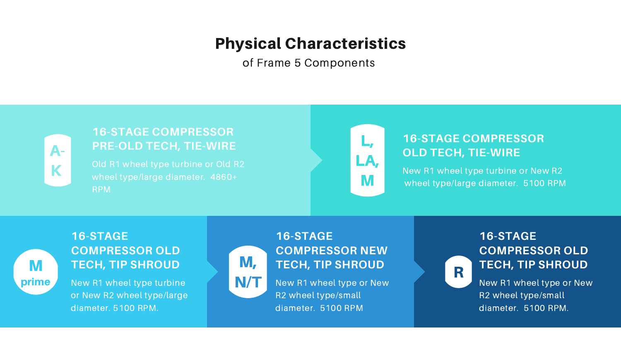# Physical Characteristics

of Frame 5 Components



A-K



Old R1 wheel type turbine or Old R2 wheel type/large diameter. 4860+ RPM

## **16-STAGE COMPRESSOR PRE-OLD TECH, TIE-WIRE**

New R1 wheel type turbine or New R2 wheel type/large diameter. 5100 RPM



N/T New R1 wheel type or New New New R1 wheel type or New R2 wheel type/small diameter. 5100 RPM

#### **16-STAGE COMPRESSOR OLD TECH, TIE-WIRE**

## **16-STAGE COMPRESSOR OLD R** TECH, TIP SHROUD

New R1 wheel type turbine or New R2 wheel type/large diameter. 5100 RPM.

#### **16-STAGE COMPRESSOR OLD TECH, TIP SHROUD**

## **16-STAGE COMPRESSOR NEW** M, **TECH, TIP SHROUD**

R2 wheel type/small diameter. 5100 RPM.